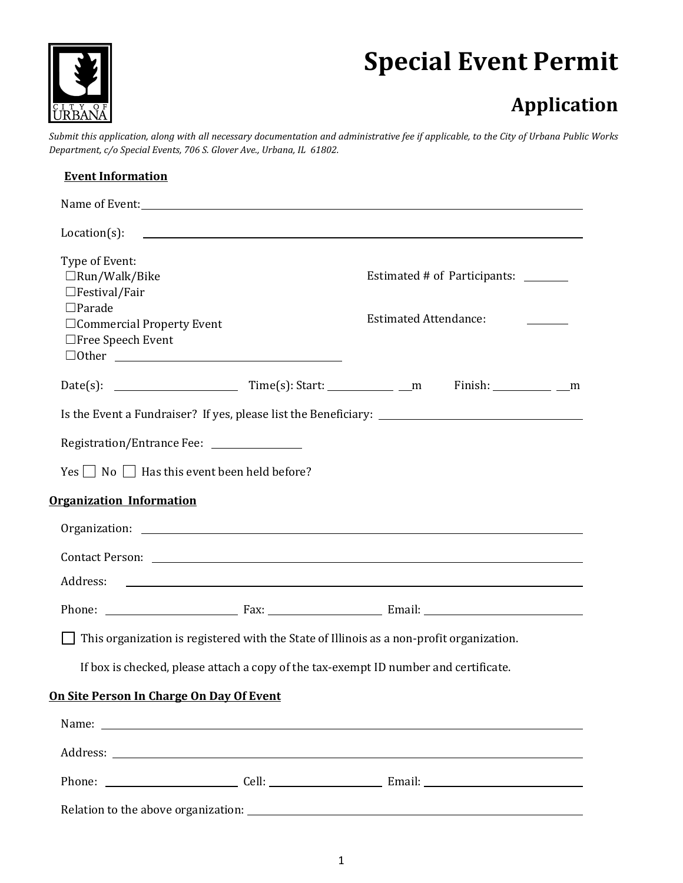

# **Special Event Permit**

# **Application**

*Submit this application, along with all necessary documentation and administrative fee if applicable, to the City of Urbana Public Works Department, c/o Special Events, 706 S. Glover Ave., Urbana, IL 61802.*

| <b>Event Information</b>                                                                                                                           |  |                                                                                                                |  |  |
|----------------------------------------------------------------------------------------------------------------------------------------------------|--|----------------------------------------------------------------------------------------------------------------|--|--|
|                                                                                                                                                    |  |                                                                                                                |  |  |
| $Location(s)$ :                                                                                                                                    |  | <u> 1990 - Johann Stoff, amerikansk politiker (d. 1980)</u>                                                    |  |  |
| Type of Event:<br>$\Box$ Run/Walk/Bike<br>$\Box$ Festival/Fair<br>$\square$ Parade<br>$\Box$ Commercial Property Event<br>$\Box$ Free Speech Event |  | Estimated # of Participants: _______<br><b>Estimated Attendance:</b>                                           |  |  |
|                                                                                                                                                    |  | Finish: ____________ __m                                                                                       |  |  |
| Registration/Entrance Fee: ___________________<br>$Yes \frown No \frown Has$ this event been held before?                                          |  |                                                                                                                |  |  |
| <b>Organization Information</b>                                                                                                                    |  |                                                                                                                |  |  |
|                                                                                                                                                    |  |                                                                                                                |  |  |
|                                                                                                                                                    |  | Contact Person: 2008 and 2008 and 2008 and 2008 and 2008 and 2008 and 2008 and 2008 and 2008 and 2008 and 2008 |  |  |
|                                                                                                                                                    |  |                                                                                                                |  |  |
|                                                                                                                                                    |  | This organization is registered with the State of Illinois as a non-profit organization.                       |  |  |
|                                                                                                                                                    |  | If box is checked, please attach a copy of the tax-exempt ID number and certificate.                           |  |  |
| On Site Person In Charge On Day Of Event                                                                                                           |  |                                                                                                                |  |  |
|                                                                                                                                                    |  |                                                                                                                |  |  |
|                                                                                                                                                    |  |                                                                                                                |  |  |
|                                                                                                                                                    |  |                                                                                                                |  |  |
|                                                                                                                                                    |  |                                                                                                                |  |  |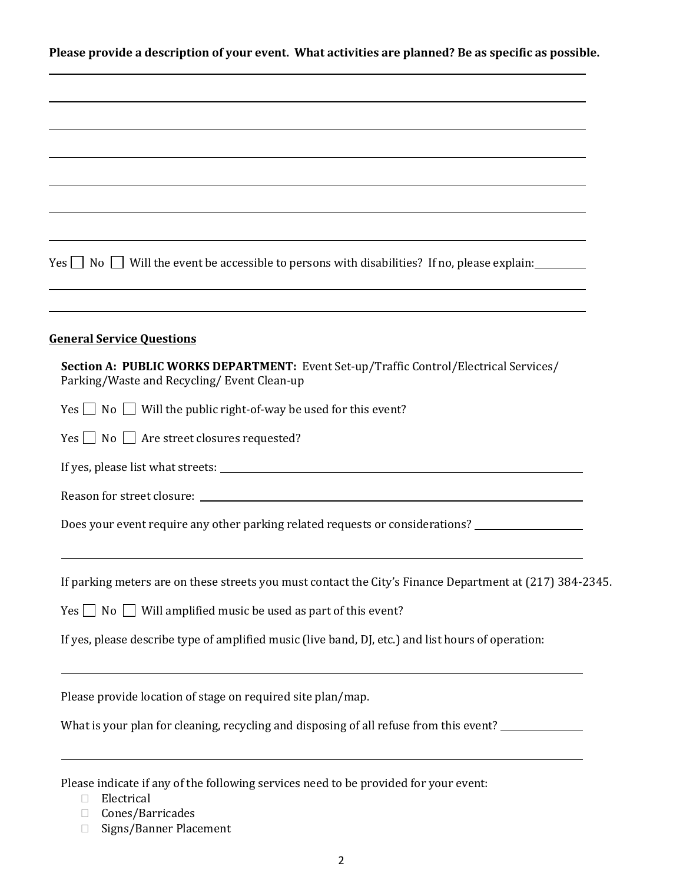**Please provide a description of your event. What activities are planned? Be as specific as possible.**

| Yes $\Box$ No $\Box$ Will the event be accessible to persons with disabilities? If no, please explain:                               |
|--------------------------------------------------------------------------------------------------------------------------------------|
| <b>General Service Ouestions</b>                                                                                                     |
| Section A: PUBLIC WORKS DEPARTMENT: Event Set-up/Traffic Control/Electrical Services/<br>Parking/Waste and Recycling/ Event Clean-up |
| $Yes \tN$ No Will the public right-of-way be used for this event?                                                                    |
| $Yes \tN$ No $\Box$ Are street closures requested?                                                                                   |
|                                                                                                                                      |
|                                                                                                                                      |
| Does your event require any other parking related requests or considerations?                                                        |
| If parking meters are on these streets you must contact the City's Finance Department at (217) 384-2345.                             |
| $Yes \bigsqcup No \bigsqcup Will amplified music be used as part of this event?$                                                     |
| If yes, please describe type of amplified music (live band, DJ, etc.) and list hours of operation:                                   |
| Please provide location of stage on required site plan/map.                                                                          |
| What is your plan for cleaning, recycling and disposing of all refuse from this event?                                               |
| Please indicate if any of the following services need to be provided for your event:                                                 |

- $\Box$  Electrical
- □ Cones/Barricades
- □ Signs/Banner Placement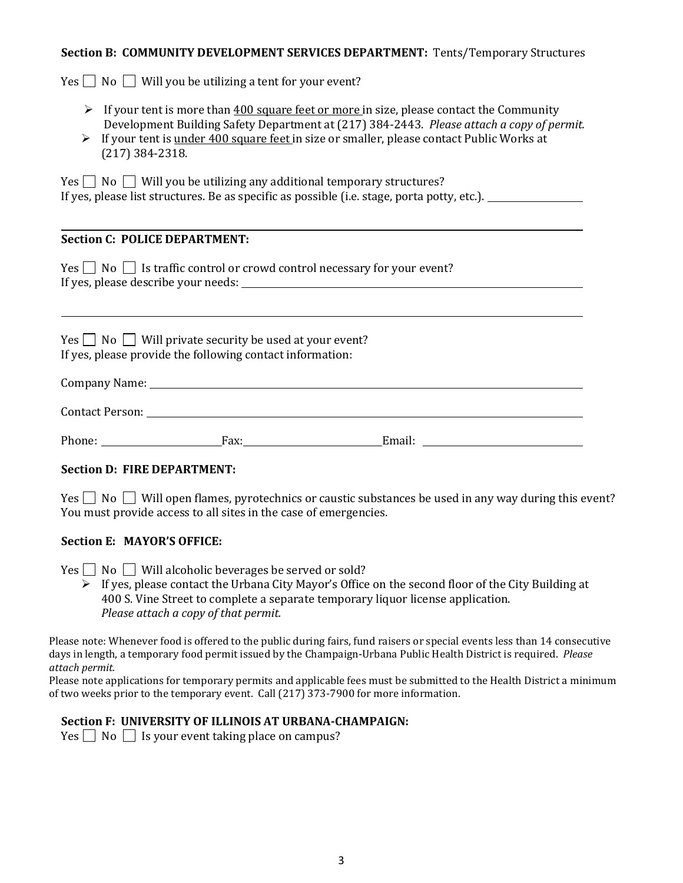#### **Section B: COMMUNITY DEVELOPMENT SERVICES DEPARTMENT:** Tents/Temporary Structures

 $Yes \n\bigcap No \n\bigcap Will you be utilizing a tent for your event?$ 

- $\triangleright$  If your tent is more than 400 square feet or more in size, please contact the Community Development Building Safety Department at (217) 384-2443. *Please attach a copy of permit.*
- $\triangleright$  If your tent is under 400 square feet in size or smaller, please contact Public Works at (217) 384-2318.

 $Yes \cap No \cap$  Will you be utilizing any additional temporary structures? If yes, please list structures. Be as specific as possible (i.e. stage, porta potty, etc.).

### **Section C: POLICE DEPARTMENT:**

 $Yes \frown No \frown Is \text{ traffic control or crowd control necessary for your event?}$ If yes, please describe your needs:

 $Yes \Box No \Box Will private security be used at your event?$ If yes, please provide the following contact information:

| Company Name:          |  |  |  |
|------------------------|--|--|--|
|                        |  |  |  |
| <b>Contact Person:</b> |  |  |  |

Phone: Fax: Fax: Email: Email: Email: Email: Email: Email: Email: Email: Email: Email: Email: Email: Email: Email: Email: Email: Email: Email: Email: Email: Email: Email: Email: Email: Email: Email: Email: Email: Email: Em

#### **Section D: FIRE DEPARTMENT:**

 $Yes \frown No \frown Will open \, flames, pyrotechnics or caustic substances be used in any way during this event?$ You must provide access to all sites in the case of emergencies.

#### **Section E: MAYOR'S OFFICE:**

 $Yes \n\Box No \n\Box Will also holic beverages be served or sold?$ 

 $\triangleright$  If yes, please contact the Urbana City Mayor's Office on the second floor of the City Building at 400 S. Vine Street to complete a separate temporary liquor license application. *Please attach a copy of that permit.*

Please note: Whenever food is offered to the public during fairs, fund raisers or special events less than 14 consecutive days in length, a temporary food permit issued by the Champaign-Urbana Public Health District is required. *Please attach permit.*

Please note applications for temporary permits and applicable fees must be submitted to the Health District a minimum of two weeks prior to the temporary event. Call (217) 373-7900 for more information.

#### **Section F: UNIVERSITY OF ILLINOIS AT URBANA-CHAMPAIGN:**

 $Yes \n\begin{array}{|c|c|} \n\hline \n\end{array}$  No  $\begin{array}{|c|c|}$  Is your event taking place on campus?